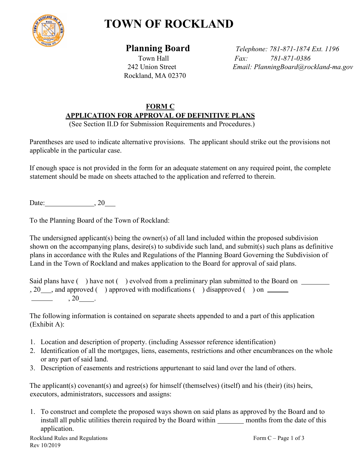

## **TOWN OF ROCKLAND**

Rockland, MA 02370

 **Planning Board** *Telephone: 781-871-1874 Ext. 1196* Town Hall *Fax: 781-871-0386* 242 Union Street *Email: PlanningBoard@rockland-ma.gov*

## **FORM C APPLICATION FOR APPROVAL OF DEFINITIVE PLANS**

(See Section II.D for Submission Requirements and Procedures.)

Parentheses are used to indicate alternative provisions. The applicant should strike out the provisions not applicable in the particular case.

If enough space is not provided in the form for an adequate statement on any required point, the complete statement should be made on sheets attached to the application and referred to therein.

Date: 20

To the Planning Board of the Town of Rockland:

The undersigned applicant(s) being the owner(s) of all land included within the proposed subdivision shown on the accompanying plans, desire(s) to subdivide such land, and submit(s) such plans as definitive plans in accordance with the Rules and Regulations of the Planning Board Governing the Subdivision of Land in the Town of Rockland and makes application to the Board for approval of said plans.

Said plans have () have not () evolved from a preliminary plan submitted to the Board on  $, 20$ , and approved ( ) approved with modifications ( ) disapproved ( ) on  $\sim$  $, 20$  .

The following information is contained on separate sheets appended to and a part of this application (Exhibit A):

- 1. Location and description of property. (including Assessor reference identification)
- 2. Identification of all the mortgages, liens, easements, restrictions and other encumbrances on the whole or any part of said land.
- 3. Description of easements and restrictions appurtenant to said land over the land of others.

The applicant(s) covenant(s) and agree(s) for himself (themselves) (itself) and his (their) (its) heirs, executors, administrators, successors and assigns:

1. To construct and complete the proposed ways shown on said plans as approved by the Board and to install all public utilities therein required by the Board within months from the date of this application.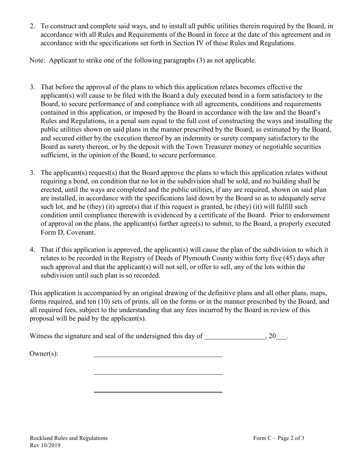2. To construct and complete said ways, and to install all public utilities therein required by the Board, in accordance with all Rules and Requirements of the Board in force at the date of this agreement and in accordance with the specifications set forth in Section IV of these Rules and Regulations.

Note: Applicant to strike one of the following paragraphs (3) as not applicable.

- 3. That before the approval of the plans to which this application relates becomes effective the applicant(s) will cause to be filed with the Board a duly executed bond in a form satisfactory to the Board, to secure performance of and compliance with all agreements, conditions and requirements contained in this application, or imposed by the Board in accordance with the law and the Board's Rules and Regulations, in a penal sum equal to the full cost of constructing the ways and installing the public utilities shown on said plans in the manner prescribed by the Board, as estimated by the Board, and secured either by the execution thereof by an indemnity or surety company satisfactory to the Board as surety thereon, or by the deposit with the Town Treasurer money or negotiable securities sufficient, in the opinion of the Board, to secure performance.
- 3. The applicant(s) request(s) that the Board approve the plans to which this application relates without requiring a bond, on condition that no lot in the subdivision shall be sold, and no building shall be erected, until the ways are completed and the public utilities, if any are required, shown on said plan are installed, in accordance with the specifications laid down by the Board so as to adequately serve such lot, and he (they) (it) agree(s) that if this request is granted, he (they) (it) will fulfill such condition until compliance therewith is evidenced by a certificate of the Board. Prior to endorsement of approval on the plans, the applicant(s) further agree(s) to submit, to the Board, a properly executed Form D, Covenant.
- 4. That if this application is approved, the applicant(s) will cause the plan of the subdivision to which it relates to be recorded in the Registry of Deeds of Plymouth County within forty five (45) days after such approval and that the applicant(s) will not sell, or offer to sell, any of the lots within the subdivision until such plan is so recorded.

This application is accompanied by an original drawing of the definitive plans and all other plans, maps, forms required, and ten (10) sets of prints, all on the forms or in the manner prescribed by the Board, and all required fees, subject to the understanding that any fees incurred by the Board in review of this proposal will be paid by the applicant(s).

Witness the signature and seal of the undersigned this day of  $\qquad \qquad 20 \qquad .$ 

Owner(s):